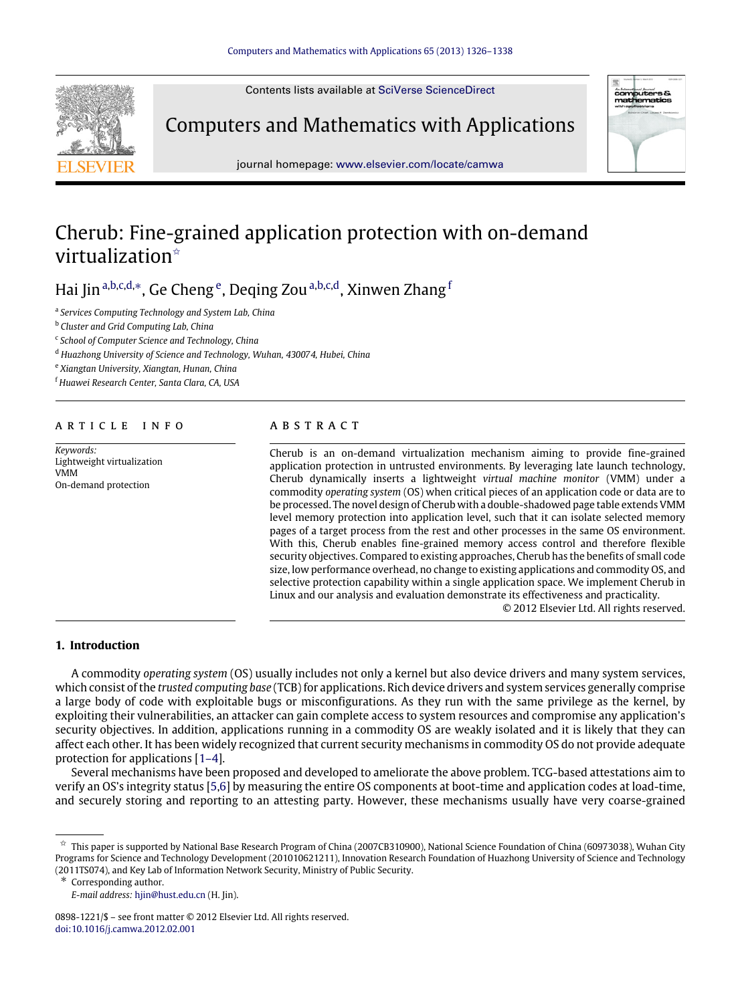Contents lists available at [SciVerse ScienceDirect](http://www.elsevier.com/locate/camwa)



Computers and Mathematics with Applications



journal homepage: [www.elsevier.com/locate/camwa](http://www.elsevier.com/locate/camwa)

## Cherub: Fine-grained application protection with on-demand virtualization[✩](#page-0-0)

Hai Jin <sup>[a,](#page-0-1)[b,](#page-0-2)[c,](#page-0-3)[d,](#page-0-4)</sup>\*, G[e](#page-0-6) Cheng <sup>e</sup>, Deqing Zou <sup>a,[b](#page-0-2)[,c,](#page-0-3)[d](#page-0-4)</sup>, Xinwen Zhang <sup>[f](#page-0-7)</sup>

<span id="page-0-1"></span>a *Services Computing Technology and System Lab, China*

<span id="page-0-2"></span><sup>b</sup> *Cluster and Grid Computing Lab, China*

<span id="page-0-3"></span>c *School of Computer Science and Technology, China*

<span id="page-0-4"></span><sup>d</sup> *Huazhong University of Science and Technology, Wuhan, 430074, Hubei, China*

<span id="page-0-6"></span><sup>e</sup> *Xiangtan University, Xiangtan, Hunan, China*

<span id="page-0-7"></span><sup>f</sup> *Huawei Research Center, Santa Clara, CA, USA*

#### a r t i c l e i n f o

*Keywords:* Lightweight virtualization VMM On-demand protection

## a b s t r a c t

Cherub is an on-demand virtualization mechanism aiming to provide fine-grained application protection in untrusted environments. By leveraging late launch technology, Cherub dynamically inserts a lightweight *virtual machine monitor* (VMM) under a commodity *operating system* (OS) when critical pieces of an application code or data are to be processed. The novel design of Cherub with a double-shadowed page table extends VMM level memory protection into application level, such that it can isolate selected memory pages of a target process from the rest and other processes in the same OS environment. With this, Cherub enables fine-grained memory access control and therefore flexible security objectives. Compared to existing approaches, Cherub has the benefits of small code size, low performance overhead, no change to existing applications and commodity OS, and selective protection capability within a single application space. We implement Cherub in Linux and our analysis and evaluation demonstrate its effectiveness and practicality.

© 2012 Elsevier Ltd. All rights reserved.

## **1. Introduction**

A commodity *operating system* (OS) usually includes not only a kernel but also device drivers and many system services, which consist of the *trusted computing base* (TCB) for applications. Rich device drivers and system services generally comprise a large body of code with exploitable bugs or misconfigurations. As they run with the same privilege as the kernel, by exploiting their vulnerabilities, an attacker can gain complete access to system resources and compromise any application's security objectives. In addition, applications running in a commodity OS are weakly isolated and it is likely that they can affect each other. It has been widely recognized that current security mechanisms in commodity OS do not provide adequate protection for applications [\[1–4\]](#page--1-0).

Several mechanisms have been proposed and developed to ameliorate the above problem. TCG-based attestations aim to verify an OS's integrity status [\[5,](#page--1-1)[6\]](#page--1-2) by measuring the entire OS components at boot-time and application codes at load-time, and securely storing and reporting to an attesting party. However, these mechanisms usually have very coarse-grained

<span id="page-0-5"></span>∗ Corresponding author.

<span id="page-0-0"></span> $\hat{\tau}$  This paper is supported by National Base Research Program of China (2007CB310900), National Science Foundation of China (60973038), Wuhan City Programs for Science and Technology Development (201010621211), Innovation Research Foundation of Huazhong University of Science and Technology (2011TS074), and Key Lab of Information Network Security, Ministry of Public Security.

*E-mail address:* [hjin@hust.edu.cn](mailto:hjin@hust.edu.cn) (H. Jin).

<sup>0898-1221/\$ –</sup> see front matter © 2012 Elsevier Ltd. All rights reserved. [doi:10.1016/j.camwa.2012.02.001](http://dx.doi.org/10.1016/j.camwa.2012.02.001)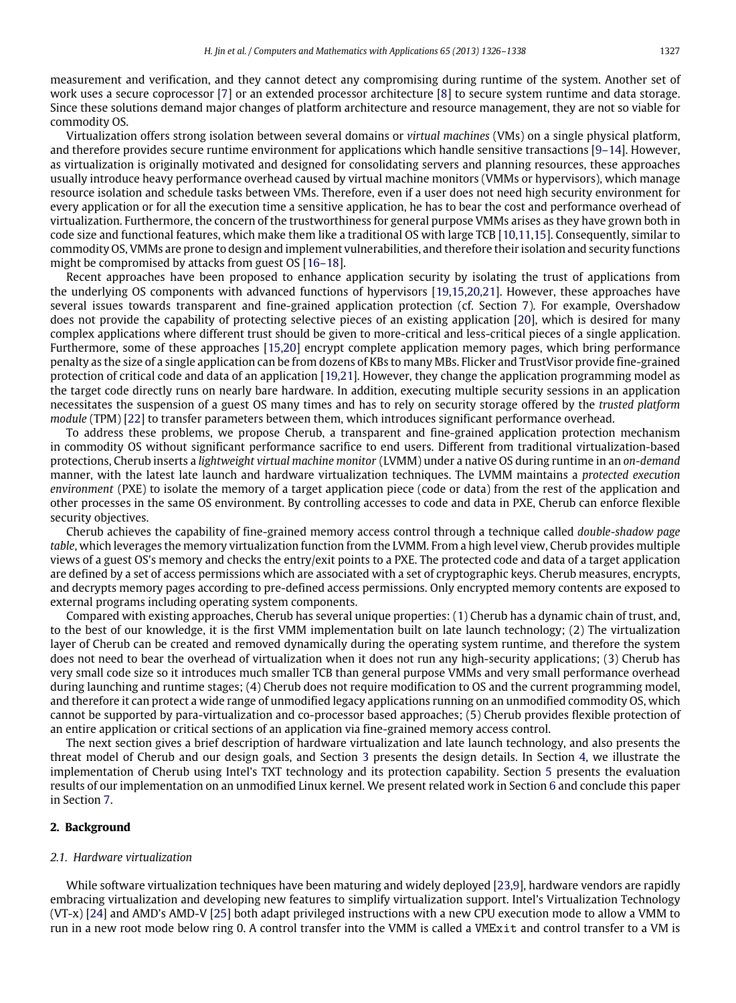measurement and verification, and they cannot detect any compromising during runtime of the system. Another set of work uses a secure coprocessor [\[7\]](#page--1-3) or an extended processor architecture [\[8\]](#page--1-4) to secure system runtime and data storage. Since these solutions demand major changes of platform architecture and resource management, they are not so viable for commodity OS.

Virtualization offers strong isolation between several domains or *virtual machines* (VMs) on a single physical platform, and therefore provides secure runtime environment for applications which handle sensitive transactions [\[9–14\]](#page--1-5). However, as virtualization is originally motivated and designed for consolidating servers and planning resources, these approaches usually introduce heavy performance overhead caused by virtual machine monitors (VMMs or hypervisors), which manage resource isolation and schedule tasks between VMs. Therefore, even if a user does not need high security environment for every application or for all the execution time a sensitive application, he has to bear the cost and performance overhead of virtualization. Furthermore, the concern of the trustworthiness for general purpose VMMs arises as they have grown both in code size and functional features, which make them like a traditional OS with large TCB [\[10](#page--1-6)[,11,](#page--1-7)[15\]](#page--1-8). Consequently, similar to commodity OS, VMMs are prone to design and implement vulnerabilities, and therefore their isolation and security functions might be compromised by attacks from guest OS [\[16–18\]](#page--1-9).

Recent approaches have been proposed to enhance application security by isolating the trust of applications from the underlying OS components with advanced functions of hypervisors [\[19](#page--1-10)[,15,](#page--1-8)[20](#page--1-11)[,21\]](#page--1-12). However, these approaches have several issues towards transparent and fine-grained application protection (cf. Section 7). For example, Overshadow does not provide the capability of protecting selective pieces of an existing application [\[20\]](#page--1-11), which is desired for many complex applications where different trust should be given to more-critical and less-critical pieces of a single application. Furthermore, some of these approaches [\[15,](#page--1-8)[20\]](#page--1-11) encrypt complete application memory pages, which bring performance penalty as the size of a single application can be from dozens of KBs to many MBs. Flicker and TrustVisor provide fine-grained protection of critical code and data of an application [\[19,](#page--1-10)[21\]](#page--1-12). However, they change the application programming model as the target code directly runs on nearly bare hardware. In addition, executing multiple security sessions in an application necessitates the suspension of a guest OS many times and has to rely on security storage offered by the *trusted platform module* (TPM) [\[22\]](#page--1-13) to transfer parameters between them, which introduces significant performance overhead.

To address these problems, we propose Cherub, a transparent and fine-grained application protection mechanism in commodity OS without significant performance sacrifice to end users. Different from traditional virtualization-based protections, Cherub inserts a *lightweight virtual machine monitor* (LVMM) under a native OS during runtime in an *on-demand* manner, with the latest late launch and hardware virtualization techniques. The LVMM maintains a *protected execution environment* (PXE) to isolate the memory of a target application piece (code or data) from the rest of the application and other processes in the same OS environment. By controlling accesses to code and data in PXE, Cherub can enforce flexible security objectives.

Cherub achieves the capability of fine-grained memory access control through a technique called *double-shadow page table*, which leverages the memory virtualization function from the LVMM. From a high level view, Cherub provides multiple views of a guest OS's memory and checks the entry/exit points to a PXE. The protected code and data of a target application are defined by a set of access permissions which are associated with a set of cryptographic keys. Cherub measures, encrypts, and decrypts memory pages according to pre-defined access permissions. Only encrypted memory contents are exposed to external programs including operating system components.

Compared with existing approaches, Cherub has several unique properties: (1) Cherub has a dynamic chain of trust, and, to the best of our knowledge, it is the first VMM implementation built on late launch technology; (2) The virtualization layer of Cherub can be created and removed dynamically during the operating system runtime, and therefore the system does not need to bear the overhead of virtualization when it does not run any high-security applications; (3) Cherub has very small code size so it introduces much smaller TCB than general purpose VMMs and very small performance overhead during launching and runtime stages; (4) Cherub does not require modification to OS and the current programming model, and therefore it can protect a wide range of unmodified legacy applications running on an unmodified commodity OS, which cannot be supported by para-virtualization and co-processor based approaches; (5) Cherub provides flexible protection of an entire application or critical sections of an application via fine-grained memory access control.

The next section gives a brief description of hardware virtualization and late launch technology, and also presents the threat model of Cherub and our design goals, and Section [3](#page--1-14) presents the design details. In Section [4,](#page--1-15) we illustrate the implementation of Cherub using Intel's TXT technology and its protection capability. Section [5](#page--1-16) presents the evaluation results of our implementation on an unmodified Linux kernel. We present related work in Section [6](#page--1-17) and conclude this paper in Section [7.](#page--1-18)

### **2. Background**

#### *2.1. Hardware virtualization*

While software virtualization techniques have been maturing and widely deployed [\[23,](#page--1-19)[9\]](#page--1-5), hardware vendors are rapidly embracing virtualization and developing new features to simplify virtualization support. Intel's Virtualization Technology (VT-x) [\[24\]](#page--1-20) and AMD's AMD-V [\[25\]](#page--1-21) both adapt privileged instructions with a new CPU execution mode to allow a VMM to run in a new root mode below ring 0. A control transfer into the VMM is called a VMExit and control transfer to a VM is